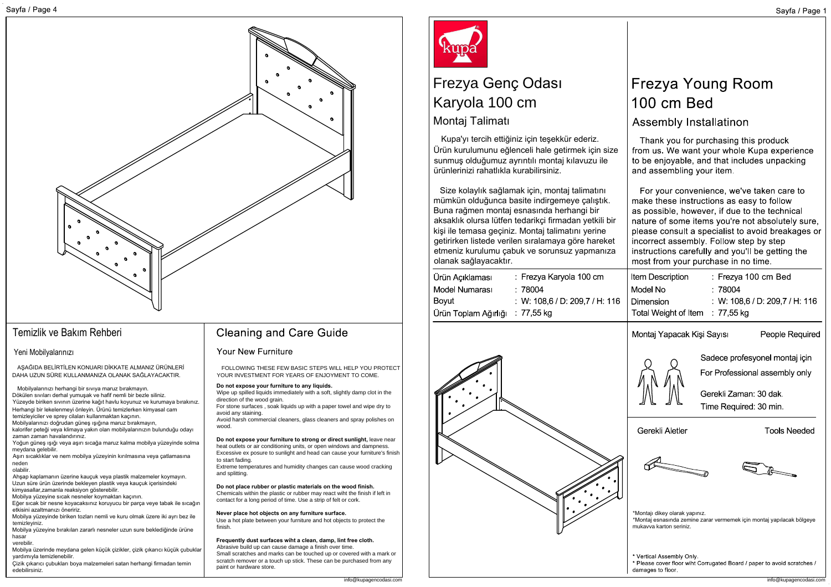

ARAGION BELIRTILEN KONUARI DIRACTER ALMANIZ ÜRÜNEMENTER (SOLUCION) RESE FEV BASIC STEPS WILL HELP YOU PROTECT<br>
Mobilis principal in the company of the company of the company of the company of the company of the company of Temizlik ve Bakım Rehberi<br>Yeni Mobilyalarınızı<br>Aşağıba BELIRTİLEN KONUARI DİKKA<br>DAHA UZUN SÜRE KULLANMANIZA OLAM<br>Mobilyalarınızı herhangi bir sıvıya maruz bökülen sıvıları derhal yumuşak ve hafif ner<br>Yüzeyde biriken sıvını

temizleyiniz.<br>Mobilya yüzeyine bırakılan zararlı nesneler uzun sure beklediğinde ürüne<br>hasar verebilir.

nasar<br>Merbilir.<br>Mobilya üzerinde meydana gelen küçük çizikler, çizik çıkarıcı küçük çubuklar<br>yardımıyla temizlenebilir.<br>Çizik çıkarıcı çubukları boya malzemeleri satan herhangi firmadan temin

**Do not expose your furniture to any liquids.** FOLLOWING THESE FEW BASIC STEPS WILL HELP YOU PROTECT<br>YOUR INVESTMENT FOR YEARS OF ENJOYMENT TO COME.<br>Do not expose your furniture to any liquids.<br>Wipe up spilled liquids immediately with a soft, slightly damp clot in the<br> Wipe up spilled liquids immediately with a soft, slightly damp clot in the **Do not expose your furniture to any liquids.**<br>Wipe up spilled liquids immediately with a soft, slightly damp clot in the<br>direction of the wood grain.<br>For stone surfaces , soak liquids up with a paper towel and wipe dry to

direction of the wood grain.<br>For stone surfaces , soak liquids up with a paper towel and wipe dry to<br>avoid harsh commercial cleaners, glass cleaners and spray polishes on<br>Avoid harsh commercial cleaners, glass cleaners and

woou.<br>**Do not expose your furniture to strong or direct sunlight,** leave near<br>heat outlets or air conditioning units, or open windows and dampness.<br>Excessive ex posure to sunlight and head can cause your furniture's finish heat outlets or air conditioning units, or open windows and dampness. Excessive ex posure to sunlight and head can cause your furniture's finish<br>to start fading. heat outlets or air conditioning units, or open windows and dampness.<br>Excessive ex posure to sunlight and head can cause your furniture's fir<br>to start fading.<br>Extreme temperatures and humidity changes can cause wood cracki

**Do not place rubber or plastic materials on the wood finish.** Chemicals within the plastic or relastic or the wood finish.<br> **Chemicals within the plastic or rubber may react wiht the finish if left in** Chemicals within the plastic or rubber may react wint the finish if left<br>contact for a long period of time. Use a strip of felt or cork.<br>Never place hot objects on any furniture surface.<br>Use a hot plate between your furnit

**Never place hot objects on any furniture surface.** Use a hot plate between your furniture and hot objects to protect the<br>finish.

**Frequently dust surfaces wiht a clean, damp, lint free cloth.** Abrasive build up can cause damage a finish over time. Abrasive build up can cause damage a finish over time.<br>Small scratches and marks can be touched up or covered with a mark or scratch remover or a touch up stick. These can be purchased from any



# Karyola 100 cm<br>Montai Talimati **Kupa**<br>Frezya Genç Or<br>Karyola 100 cm **Frezya Genç Odası**<br>Frezya Genç Odası

Kupa'yı tercih ettiğiniz için tesekkür ederiz. <mark>Montaj Talimatı</mark><br>Kupa'yı tercih ettiğiniz için teşekkür ederiz.<br>Ürün kurulumunu eğlenceli hale getirmek için size VXXXVII I VIXTIVII<br>Kupa'yı tercih ettiğiniz için teşekkür ederiz.<br>Ürün kurulumunu eğlenceli hale getirmek için s<br>sunmuş olduğumuz ayrıntılı montaj kılavuzu ile sunmuş olduğumuz ayrıntılı montaj kılavuzu ile<br>ürünlerinizi rahatlıkla kurabilirsiniz

Size kolaylık sağlamak için, montaj talimatını Size kolaylık sağlamak için, montaj talimatını<br>mümkün olduğunca basite indirgemeye çalıştık.<br>Buna rağmen montaj esnasında herhangi bir<br>aksaklık olursa lütfen tedarikçi firmadan yetkili t<br>kişi ile temasa geçiniz. Montaj tal Buna rağmen montaj esnasında herhangi bir<br>aksaklık olursa lütfen tedarikci firmadan vetkili bir kişi ile temasa geçiniz. Montaj talimatını yerine<br>getirirken listede verilen sıralamaya göre hareket aksaklık olursa lütfen tedarikçi firmadan yetkili bir<br>kişi ile temasa geçiniz. Montaj talimatını yerine<br>getirirken listede verilen sıralamaya göre hareket<br>etmeniz kurulumu çabuk ve sorunsuz yapmanıza etmeniz kurulumu çabuk ve sorunsuz yapmanıza<br>olanak sağlayacaktır.

: Frezya Karyola 100 cm  $:78004$ : W: 108.6 / D: 209.7 / H: 116



## Assembly Installatinon

Thank you for purchasing this produck from us. We want your whole Kupa experience to be enjoyable, and that includes unpacking and assembling your item.

For your convenience, we've taken care to make these instructions as easy to follow as possible, however, if due to the technical nature of some items you're not absolutely sure, please consult a specialist to avoid breakages or incorrect assembly. Follow step by step instructions carefully and you'll be getting the most from your purchase in no time.

| Item Description                | : Frezya 100 cm Bed            |  |
|---------------------------------|--------------------------------|--|
| Model No                        | :78004                         |  |
| Dimension                       | : W: 108.6 / D: 209.7 / H: 116 |  |
| Total Weight of Item : 77,55 kg |                                |  |



People Required



For Professional assembly only

Sadece profesvonel montai icin

Gerekli Zaman: 30 dak. Time Required: 30 min.

**Tools Needed** 



\*Montaji dikey olarak yapınız. \*Montaj esnasında zemine zarar vermemek için montaj yapılacak bölgeye<br>mukayya karton seriniz

Vertical Assembly Only. \* Please cover floor wiht Corrugated Board / paper to avoid scratches /<br>damages to floor.<br>info@kupagencodasi.com damages to floor.